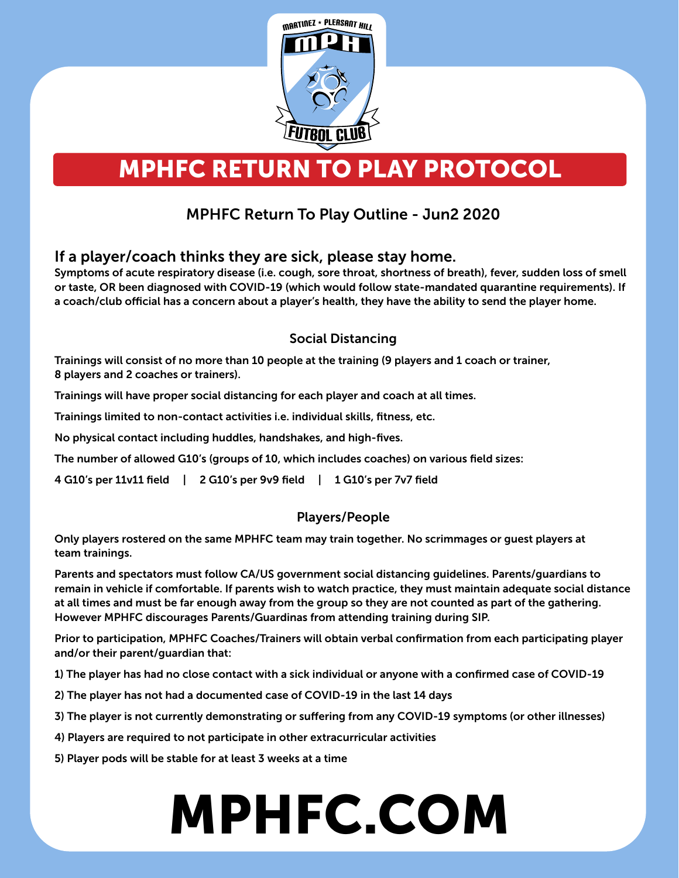

# MPHFC RETURN TO PLAY PROTOCOL

## MPHFC Return To Play Outline - Jun2 2020

#### If a player/coach thinks they are sick, please stay home.

Symptoms of acute respiratory disease (i.e. cough, sore throat, shortness of breath), fever, sudden loss of smell or taste, OR been diagnosed with COVID-19 (which would follow state-mandated quarantine requirements). If a coach/club official has a concern about a player's health, they have the ability to send the player home.

#### Social Distancing

Trainings will consist of no more than 10 people at the training (9 players and 1 coach or trainer, 8 players and 2 coaches or trainers).

Trainings will have proper social distancing for each player and coach at all times.

Trainings limited to non-contact activities i.e. individual skills, fitness, etc.

No physical contact including huddles, handshakes, and high-fives.

The number of allowed G10's (groups of 10, which includes coaches) on various field sizes:

4 G10's per 11v11 field | 2 G10's per 9v9 field | 1 G10's per 7v7 field

#### Players/People

Only players rostered on the same MPHFC team may train together. No scrimmages or guest players at team trainings.

Parents and spectators must follow CA/US government social distancing guidelines. Parents/guardians to remain in vehicle if comfortable. If parents wish to watch practice, they must maintain adequate social distance at all times and must be far enough away from the group so they are not counted as part of the gathering. However MPHFC discourages Parents/Guardinas from attending training during SIP.

Prior to participation, MPHFC Coaches/Trainers will obtain verbal confirmation from each participating player and/or their parent/guardian that:

1) The player has had no close contact with a sick individual or anyone with a confirmed case of COVID-19

2) The player has not had a documented case of COVID-19 in the last 14 days

3) The player is not currently demonstrating or suffering from any COVID-19 symptoms (or other illnesses)

4) Players are required to not participate in other extracurricular activities

5) Player pods will be stable for at least 3 weeks at a time

# MPHFC.COM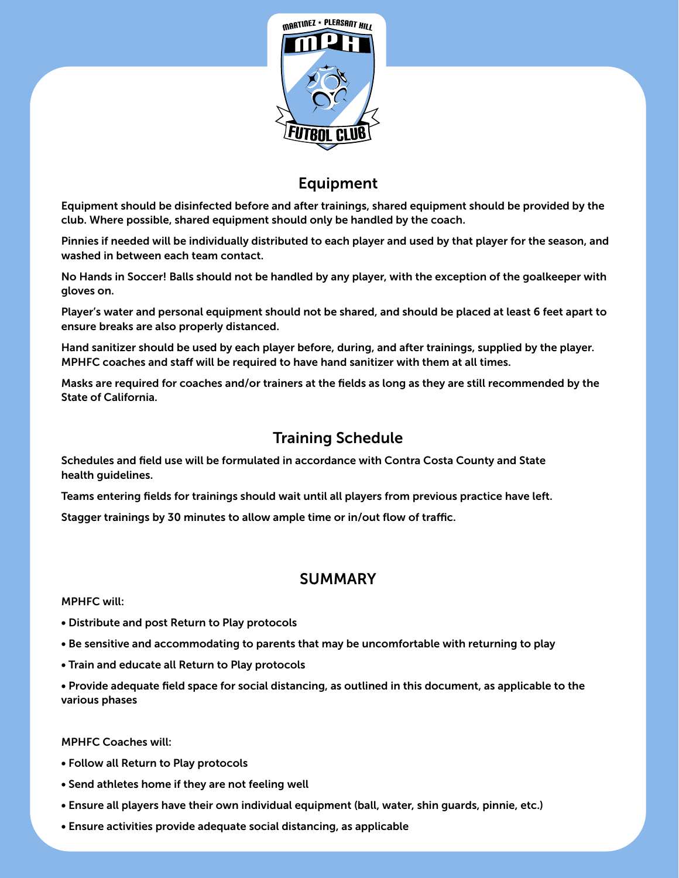

### Equipment

Equipment should be disinfected before and after trainings, shared equipment should be provided by the club. Where possible, shared equipment should only be handled by the coach.

Pinnies if needed will be individually distributed to each player and used by that player for the season, and washed in between each team contact.

No Hands in Soccer! Balls should not be handled by any player, with the exception of the goalkeeper with gloves on.

Player's water and personal equipment should not be shared, and should be placed at least 6 feet apart to ensure breaks are also properly distanced.

Hand sanitizer should be used by each player before, during, and after trainings, supplied by the player. MPHFC coaches and staff will be required to have hand sanitizer with them at all times.

Masks are required for coaches and/or trainers at the fields as long as they are still recommended by the State of California.

#### Training Schedule

Schedules and field use will be formulated in accordance with Contra Costa County and State health guidelines.

Teams entering fields for trainings should wait until all players from previous practice have left.

Stagger trainings by 30 minutes to allow ample time or in/out flow of traffic.

#### SUMMARY

MPHFC will:

- Distribute and post Return to Play protocols
- Be sensitive and accommodating to parents that may be uncomfortable with returning to play
- Train and educate all Return to Play protocols

• Provide adequate field space for social distancing, as outlined in this document, as applicable to the various phases

MPHFC Coaches will:

- Follow all Return to Play protocols
- Send athletes home if they are not feeling well
- Ensure all players have their own individual equipment (ball, water, shin guards, pinnie, etc.)
- Ensure activities provide adequate social distancing, as applicable